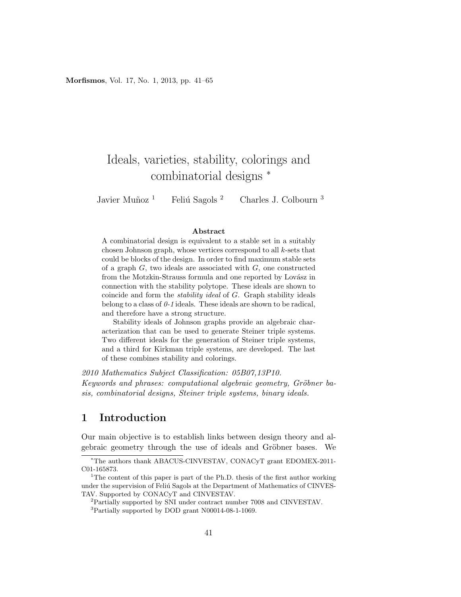Morfismos, Vol. 17, No. 1, 2013, pp. 41–65

# Ideals, varieties, stability, colorings and combinatorial designs <sup>∗</sup>

Javier Muñoz<sup>1</sup> Feliú Sagols<sup>2</sup> Charles J. Colbourn<sup>3</sup>

#### Abstract

A combinatorial design is equivalent to a stable set in a suitably chosen Johnson graph, whose vertices correspond to all k-sets that could be blocks of the design. In order to find maximum stable sets of a graph  $G$ , two ideals are associated with  $G$ , one constructed from the Motzkin-Strauss formula and one reported by Lovász in connection with the stability polytope. These ideals are shown to coincide and form the stability ideal of G. Graph stability ideals belong to a class of  $\theta$ -1 ideals. These ideals are shown to be radical, and therefore have a strong structure.

Stability ideals of Johnson graphs provide an algebraic characterization that can be used to generate Steiner triple systems. Two different ideals for the generation of Steiner triple systems, and a third for Kirkman triple systems, are developed. The last of these combines stability and colorings.

2010 Mathematics Subject Classification: 05B07,13P10. Keywords and phrases: computational algebraic geometry, Gröbner basis, combinatorial designs, Steiner triple systems, binary ideals.

## 1 Introduction

Our main objective is to establish links between design theory and algebraic geometry through the use of ideals and Gröbner bases. We

<sup>∗</sup>The authors thank ABACUS-CINVESTAV, CONACyT grant EDOMEX-2011- C01-165873.

<sup>&</sup>lt;sup>1</sup>The content of this paper is part of the Ph.D. thesis of the first author working under the supervision of Feliú Sagols at the Department of Mathematics of CINVES-TAV. Supported by CONACyT and CINVESTAV.

<sup>2</sup>Partially supported by SNI under contract number 7008 and CINVESTAV.

<sup>3</sup>Partially supported by DOD grant N00014-08-1-1069.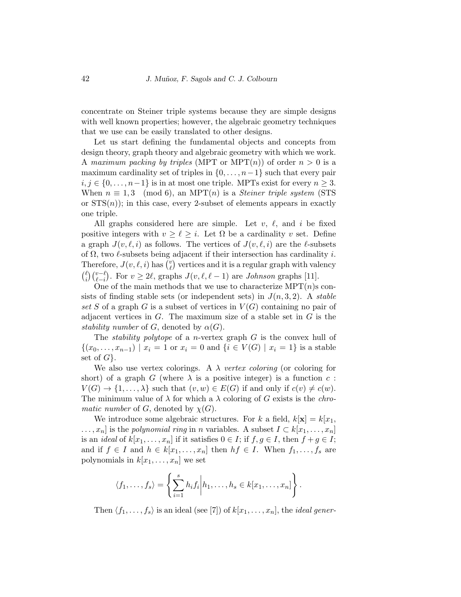concentrate on Steiner triple systems because they are simple designs with well known properties; however, the algebraic geometry techniques that we use can be easily translated to other designs.

Let us start defining the fundamental objects and concepts from design theory, graph theory and algebraic geometry with which we work. A maximum packing by triples (MPT or MPT $(n)$ ) of order  $n > 0$  is a maximum cardinality set of triples in  $\{0, \ldots, n-1\}$  such that every pair  $i, j \in \{0, \ldots, n-1\}$  is in at most one triple. MPTs exist for every  $n \geq 3$ . When  $n \equiv 1, 3 \pmod{6}$ , an MPT(n) is a *Steiner triple system* (STS or  $STS(n)$ ; in this case, every 2-subset of elements appears in exactly one triple.

All graphs considered here are simple. Let  $v, \ell$ , and i be fixed positive integers with  $v \geq \ell \geq i$ . Let  $\Omega$  be a cardinality v set. Define a graph  $J(v, \ell, i)$  as follows. The vertices of  $J(v, \ell, i)$  are the  $\ell$ -subsets of  $\Omega$ , two  $\ell$ -subsets being adjacent if their intersection has cardinality i. Therefore,  $J(v, \ell, i)$  has  $\binom{v}{\ell}$  $\binom{v}{\ell}$  vertices and it is a regular graph with valency  $\int_{0}^{\ell}$  $\binom{\ell}{i}\binom{v-\ell}{\ell-i}$ . For  $v \ge 2\ell$ , graphs  $J(v,\ell,\ell-1)$  are *Johnson* graphs [11].

One of the main methods that we use to characterize  $\text{MPT}(n)$ s consists of finding stable sets (or independent sets) in  $J(n, 3, 2)$ . A stable set S of a graph G is a subset of vertices in  $V(G)$  containing no pair of adjacent vertices in  $G$ . The maximum size of a stable set in  $G$  is the stability number of G, denoted by  $\alpha(G)$ .

The *stability polytope* of a *n*-vertex graph  $G$  is the convex hull of  $\{(x_0, \ldots, x_{n-1}) \mid x_i = 1 \text{ or } x_i = 0 \text{ and } \{i \in V(G) \mid x_i = 1\} \text{ is a stable}$ set of  $G$ .

We also use vertex colorings. A  $\lambda$  vertex coloring (or coloring for short) of a graph G (where  $\lambda$  is a positive integer) is a function c:  $V(G) \to \{1, \ldots, \lambda\}$  such that  $(v, w) \in E(G)$  if and only if  $c(v) \neq c(w)$ . The minimum value of  $\lambda$  for which a  $\lambda$  coloring of G exists is the *chromatic number* of G, denoted by  $\chi(G)$ .

We introduce some algebraic structures. For k a field,  $k[\mathbf{x}] = k[x_1,$  $\dots, x_n$  is the *polynomial ring* in *n* variables. A subset  $I \subset k[x_1, \dots, x_n]$ is an *ideal* of  $k[x_1, \ldots, x_n]$  if it satisfies  $0 \in I$ ; if  $f, g \in I$ , then  $f + g \in I$ ; and if  $f \in I$  and  $h \in k[x_1, \ldots, x_n]$  then  $hf \in I$ . When  $f_1, \ldots, f_s$  are polynomials in  $k[x_1, \ldots, x_n]$  we set

$$
\langle f_1, \ldots, f_s \rangle = \left\{ \sum_{i=1}^s h_i f_i \middle| h_1, \ldots, h_s \in k[x_1, \ldots, x_n] \right\}.
$$

Then  $\langle f_1, \ldots, f_s \rangle$  is an ideal (see [7]) of  $k[x_1, \ldots, x_n]$ , the *ideal gener-*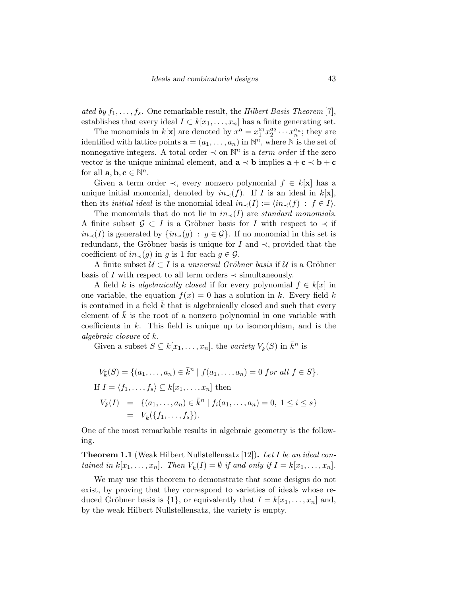ated by  $f_1, \ldots, f_s$ . One remarkable result, the Hilbert Basis Theorem [7], establishes that every ideal  $I \subset k[x_1,\ldots,x_n]$  has a finite generating set.

The monomials in  $k[\mathbf{x}]$  are denoted by  $x^{\mathbf{a}} = x_1^{a_1} x_2^{a_2} \cdots x_n^{a_n}$ ; they are identified with lattice points  $\mathbf{a} = (a_1, \dots, a_n)$  in  $\mathbb{N}^n$ , where  $\mathbb N$  is the set of nonnegative integers. A total order  $\prec$  on  $\mathbb{N}^n$  is a *term order* if the zero vector is the unique minimal element, and  $\mathbf{a} \prec \mathbf{b}$  implies  $\mathbf{a} + \mathbf{c} \prec \mathbf{b} + \mathbf{c}$ for all  $\mathbf{a}, \mathbf{b}, \mathbf{c} \in \mathbb{N}^n$ .

Given a term order  $\prec$ , every nonzero polynomial  $f \in k[\mathbf{x}]$  has a unique initial monomial, denoted by  $in_{\prec}(f)$ . If I is an ideal in  $k[\mathbf{x}]$ , then its *initial ideal* is the monomial ideal  $in_<(I) := \langle in_<(f) : f \in I \rangle$ .

The monomials that do not lie in  $in_{\prec}(I)$  are standard monomials. A finite subset  $\mathcal{G} \subset I$  is a Gröbner basis for I with respect to  $\prec$  if  $in_<(I)$  is generated by  $\{in_<(g) : g \in \mathcal{G}\}\$ . If no monomial in this set is redundant, the Gröbner basis is unique for I and  $\prec$ , provided that the coefficient of  $in_{\prec}(g)$  in g is 1 for each  $g \in \mathcal{G}$ .

A finite subset  $U \subset I$  is a universal Gröbner basis if U is a Gröbner basis of I with respect to all term orders  $\prec$  simultaneously.

A field k is algebraically closed if for every polynomial  $f \in k[x]$  in one variable, the equation  $f(x) = 0$  has a solution in k. Every field k is contained in a field  $k$  that is algebraically closed and such that every element of  $k$  is the root of a nonzero polynomial in one variable with coefficients in  $k$ . This field is unique up to isomorphism, and is the algebraic closure of k.

Given a subset  $S \subseteq k[x_1, \ldots, x_n]$ , the variety  $V_{\bar{k}}(S)$  in  $\bar{k}^n$  is

$$
V_{\bar{k}}(S) = \{(a_1, ..., a_n) \in \bar{k}^n \mid f(a_1, ..., a_n) = 0 \text{ for all } f \in S\}.
$$
  
If  $I = \langle f_1, ..., f_s \rangle \subseteq k[x_1, ..., x_n]$  then  

$$
V_{\bar{k}}(I) = \{(a_1, ..., a_n) \in \bar{k}^n \mid f_i(a_1, ..., a_n) = 0, 1 \le i \le s\}
$$

$$
= V_{\bar{k}}(\{f_1, ..., f_s\}).
$$

One of the most remarkable results in algebraic geometry is the following.

**Theorem 1.1** (Weak Hilbert Nullstellensatz [12]). Let I be an ideal contained in  $k[x_1, \ldots, x_n]$ . Then  $V_{\bar{k}}(I) = \emptyset$  if and only if  $I = k[x_1, \ldots, x_n]$ .

We may use this theorem to demonstrate that some designs do not exist, by proving that they correspond to varieties of ideals whose reduced Gröbner basis is  $\{1\}$ , or equivalently that  $I = k[x_1, \ldots, x_n]$  and, by the weak Hilbert Nullstellensatz, the variety is empty.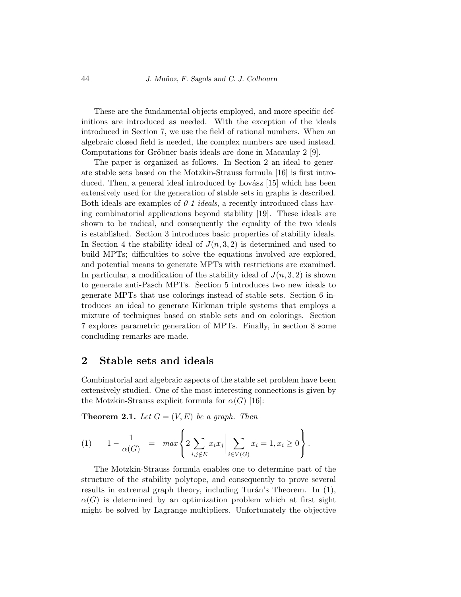These are the fundamental objects employed, and more specific definitions are introduced as needed. With the exception of the ideals introduced in Section 7, we use the field of rational numbers. When an algebraic closed field is needed, the complex numbers are used instead. Computations for Gröbner basis ideals are done in Macaulay 2 [9].

The paper is organized as follows. In Section 2 an ideal to generate stable sets based on the Motzkin-Strauss formula [16] is first introduced. Then, a general ideal introduced by Lovász [15] which has been extensively used for the generation of stable sets in graphs is described. Both ideals are examples of  $0-1$  *ideals*, a recently introduced class having combinatorial applications beyond stability [19]. These ideals are shown to be radical, and consequently the equality of the two ideals is established. Section 3 introduces basic properties of stability ideals. In Section 4 the stability ideal of  $J(n, 3, 2)$  is determined and used to build MPTs; difficulties to solve the equations involved are explored, and potential means to generate MPTs with restrictions are examined. In particular, a modification of the stability ideal of  $J(n, 3, 2)$  is shown to generate anti-Pasch MPTs. Section 5 introduces two new ideals to generate MPTs that use colorings instead of stable sets. Section 6 introduces an ideal to generate Kirkman triple systems that employs a mixture of techniques based on stable sets and on colorings. Section 7 explores parametric generation of MPTs. Finally, in section 8 some concluding remarks are made.

#### 2 Stable sets and ideals

Combinatorial and algebraic aspects of the stable set problem have been extensively studied. One of the most interesting connections is given by the Motzkin-Strauss explicit formula for  $\alpha(G)$  [16]:

**Theorem 2.1.** Let  $G = (V, E)$  be a graph. Then

(1) 
$$
1 - \frac{1}{\alpha(G)} = \max \left\{ 2 \sum_{i,j \notin E} x_i x_j \middle| \sum_{i \in V(G)} x_i = 1, x_i \ge 0 \right\}.
$$

The Motzkin-Strauss formula enables one to determine part of the structure of the stability polytope, and consequently to prove several results in extremal graph theory, including Turán's Theorem. In  $(1)$ ,  $\alpha(G)$  is determined by an optimization problem which at first sight might be solved by Lagrange multipliers. Unfortunately the objective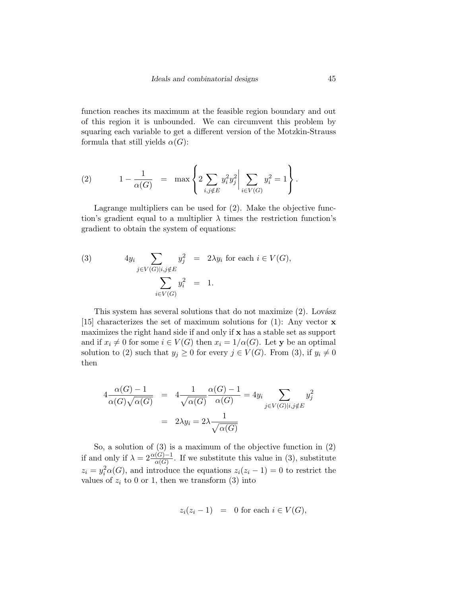function reaches its maximum at the feasible region boundary and out of this region it is unbounded. We can circumvent this problem by squaring each variable to get a different version of the Motzkin-Strauss formula that still yields  $\alpha(G)$ :

(2) 
$$
1 - \frac{1}{\alpha(G)} = \max \left\{ 2 \sum_{i,j \notin E} y_i^2 y_j^2 \middle| \sum_{i \in V(G)} y_i^2 = 1 \right\}.
$$

Lagrange multipliers can be used for (2). Make the objective function's gradient equal to a multiplier  $\lambda$  times the restriction function's gradient to obtain the system of equations:

(3) 
$$
4y_i \sum_{j \in V(G)|i, j \notin E} y_j^2 = 2\lambda y_i \text{ for each } i \in V(G),
$$

$$
\sum_{i \in V(G)} y_i^2 = 1.
$$

This system has several solutions that do not maximize  $(2)$ . Lovász [15] characterizes the set of maximum solutions for (1): Any vector  $\bf{x}$ maximizes the right hand side if and only if x has a stable set as support and if  $x_i \neq 0$  for some  $i \in V(G)$  then  $x_i = 1/\alpha(G)$ . Let y be an optimal solution to (2) such that  $y_j \geq 0$  for every  $j \in V(G)$ . From (3), if  $y_i \neq 0$ then

$$
4 \frac{\alpha(G) - 1}{\alpha(G)\sqrt{\alpha(G)}} = 4 \frac{1}{\sqrt{\alpha(G)}} \frac{\alpha(G) - 1}{\alpha(G)} = 4y_i \sum_{j \in V(G)|i, j \notin E} y_j^2
$$

$$
= 2\lambda y_i = 2\lambda \frac{1}{\sqrt{\alpha(G)}}
$$

So, a solution of (3) is a maximum of the objective function in (2) if and only if  $\lambda = 2 \frac{\alpha(G)-1}{\alpha(G)}$ . If we substitute this value in (3), substitute  $z_i = y_i^2 \alpha(G)$ , and introduce the equations  $z_i(z_i - 1) = 0$  to restrict the values of  $z_i$  to 0 or 1, then we transform (3) into

$$
z_i(z_i - 1) = 0 \text{ for each } i \in V(G),
$$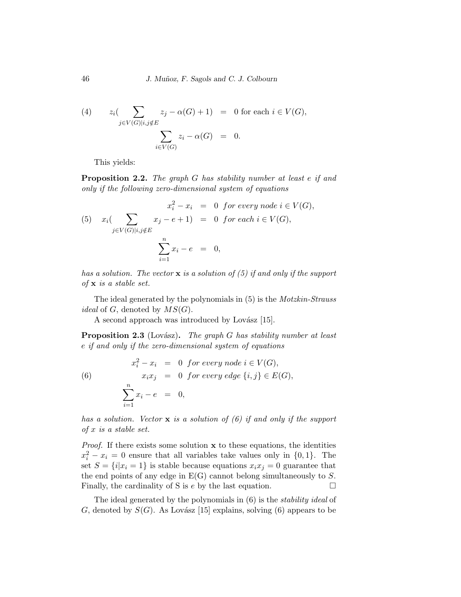(4) 
$$
z_i \left( \sum_{j \in V(G)|i, j \notin E} z_j - \alpha(G) + 1 \right) = 0 \text{ for each } i \in V(G),
$$

$$
\sum_{i \in V(G)} z_i - \alpha(G) = 0.
$$

This yields:

Proposition 2.2. The graph G has stability number at least e if and only if the following zero-dimensional system of equations

$$
x_i^2 - x_i = 0 \text{ for every node } i \in V(G),
$$
  
(5) 
$$
x_i \left( \sum_{j \in V(G)|i,j \notin E} x_j - e + 1 \right) = 0 \text{ for each } i \in V(G),
$$

$$
\sum_{i=1}^n x_i - e = 0,
$$

has a solution. The vector  $x$  is a solution of (5) if and only if the support of  $x$  is a stable set.

The ideal generated by the polynomials in (5) is the Motzkin-Strauss *ideal* of G, denoted by  $MS(G)$ .

A second approach was introduced by Lovász  $[15]$ .

**Proposition 2.3** (Lovász). The graph G has stability number at least e if and only if the zero-dimensional system of equations

(6) 
$$
x_i^2 - x_i = 0 \text{ for every node } i \in V(G),
$$

$$
x_i x_j = 0 \text{ for every edge } \{i, j\} \in E(G),
$$

$$
\sum_{i=1}^n x_i - e = 0,
$$

has a solution. Vector  $\bf{x}$  is a solution of (6) if and only if the support of x is a stable set.

*Proof.* If there exists some solution  $x$  to these equations, the identities  $x_i^2 - x_i = 0$  ensure that all variables take values only in  $\{0, 1\}$ . The set  $S = \{i | x_i = 1\}$  is stable because equations  $x_i x_j = 0$  guarantee that the end points of any edge in  $E(G)$  cannot belong simultaneously to S. Finally, the cardinality of S is  $e$  by the last equation.  $\Box$ 

The ideal generated by the polynomials in (6) is the stability ideal of G, denoted by  $S(G)$ . As Lovász [15] explains, solving (6) appears to be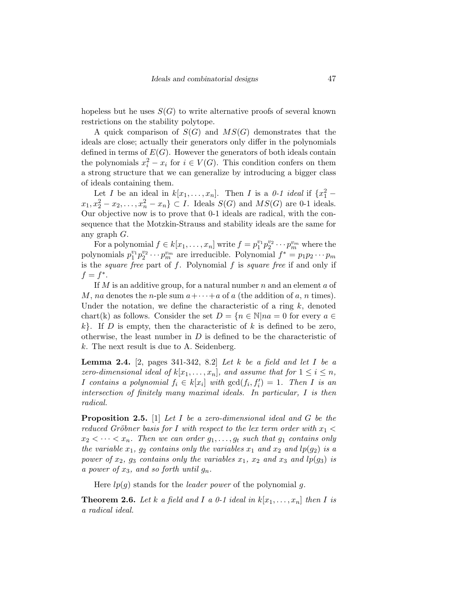hopeless but he uses  $S(G)$  to write alternative proofs of several known restrictions on the stability polytope.

A quick comparison of  $S(G)$  and  $MS(G)$  demonstrates that the ideals are close; actually their generators only differ in the polynomials defined in terms of  $E(G)$ . However the generators of both ideals contain the polynomials  $x_i^2 - x_i$  for  $i \in V(G)$ . This condition confers on them a strong structure that we can generalize by introducing a bigger class of ideals containing them.

Let *I* be an ideal in  $k[x_1, \ldots, x_n]$ . Then *I* is a *0-1 ideal* if  $\{x_1^2$  $x_1, x_2^2 - x_2, ..., x_n^2 - x_n$   $\subset I$ . Ideals  $S(G)$  and  $MS(G)$  are 0-1 ideals. Our objective now is to prove that 0-1 ideals are radical, with the consequence that the Motzkin-Strauss and stability ideals are the same for any graph G.

For a polynomial  $f \in k[x_1, \ldots, x_n]$  write  $f = p_1^{v_1} p_2^{v_2} \cdots p_m^{v_m}$  where the polynomials  $p_1^{v_1} p_2^{v_2} \cdots p_m^{v_m}$  are irreducible. Polynomial  $f^* = p_1 p_2 \cdots p_m$ is the *square free* part of  $f$ . Polynomial  $f$  is *square free* if and only if  $f = f^*$ .

If  $M$  is an additive group, for a natural number  $n$  and an element  $a$  of M, na denotes the n-ple sum  $a + \cdots + a$  of a (the addition of a, n times). Under the notation, we define the characteristic of a ring  $k$ , denoted chart(k) as follows. Consider the set  $D = \{n \in \mathbb{N} | na = 0 \text{ for every } a \in \mathbb{N}\}$  $k$ . If D is empty, then the characteristic of k is defined to be zero, otherwise, the least number in  $D$  is defined to be the characteristic of k. The next result is due to A. Seidenberg.

**Lemma 2.4.** [2, pages 341-342, 8.2] Let k be a field and let I be a zero-dimensional ideal of  $k[x_1, \ldots, x_n]$ , and assume that for  $1 \leq i \leq n$ , *I* contains a polynomial  $f_i \in k[x_i]$  with  $gcd(f_i, f'_i) = 1$ . Then *I* is an intersection of finitely many maximal ideals. In particular, I is then radical.

**Proposition 2.5.** [1] Let I be a zero-dimensional ideal and G be the reduced Gröbner basis for I with respect to the lex term order with  $x_1$  <  $x_2 < \cdots < x_n$ . Then we can order  $g_1, \ldots, g_t$  such that  $g_1$  contains only the variable  $x_1$ ,  $g_2$  contains only the variables  $x_1$  and  $x_2$  and  $lp(g_2)$  is a power of  $x_2$ ,  $g_3$  contains only the variables  $x_1$ ,  $x_2$  and  $x_3$  and  $lp(g_3)$  is a power of  $x_3$ , and so forth until  $g_n$ .

Here  $lp(q)$  stands for the *leader power* of the polynomial g.

**Theorem 2.6.** Let k a field and I a 0-1 ideal in  $k[x_1, \ldots, x_n]$  then I is a radical ideal.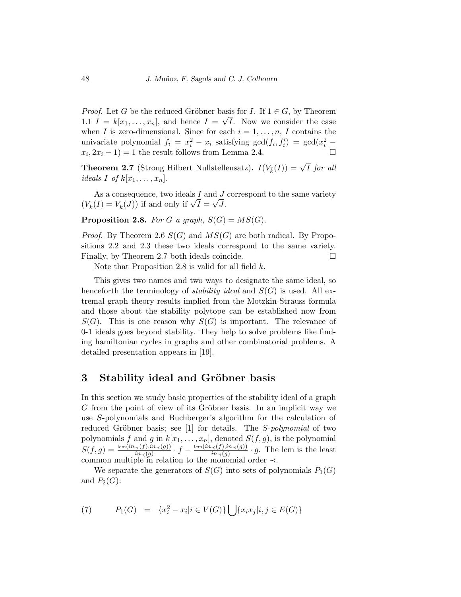*Proof.* Let G be the reduced Gröbner basis for I. If  $1 \in G$ , by Theorem 1.1  $I = k[x_1, \ldots, x_n]$ , and hence  $I = \sqrt{I}$ . Now we consider the case when I is zero-dimensional. Since for each  $i = 1, \ldots, n, I$  contains the univariate polynomial  $f_i = x_i^2 - x_i$  satisfying  $gcd(f_i, f'_i) = gcd(x_i^2 - x_i)$  $x_i, 2x_i - 1$  = 1 the result follows from Lemma 2.4.

**Theorem 2.7** (Strong Hilbert Nullstellensatz).  $I(V_{\bar{k}}(I)) = \sqrt{I}$  for all ideals I of  $k[x_1, \ldots, x_n]$ .

As a consequence, two ideals I and J correspond to the same variety As a consequence, two ideals I and J<br>  $(V_{\bar{k}}(I) = V_{\bar{k}}(J))$  if and only if  $\sqrt{I} = \sqrt{J}$ .

**Proposition 2.8.** For G a graph,  $S(G) = MS(G)$ .

*Proof.* By Theorem 2.6  $S(G)$  and  $MS(G)$  are both radical. By Propositions 2.2 and 2.3 these two ideals correspond to the same variety. Finally, by Theorem 2.7 both ideals coincide.

Note that Proposition 2.8 is valid for all field  $k$ .

This gives two names and two ways to designate the same ideal, so henceforth the terminology of *stability ideal* and  $S(G)$  is used. All extremal graph theory results implied from the Motzkin-Strauss formula and those about the stability polytope can be established now from  $S(G)$ . This is one reason why  $S(G)$  is important. The relevance of 0-1 ideals goes beyond stability. They help to solve problems like finding hamiltonian cycles in graphs and other combinatorial problems. A detailed presentation appears in [19].

#### 3 Stability ideal and Gröbner basis

In this section we study basic properties of the stability ideal of a graph G from the point of view of its Gröbner basis. In an implicit way we use S-polynomials and Buchberger's algorithm for the calculation of reduced Gröbner basis; see [1] for details. The S-polynomial of two polynomials f and g in  $k[x_1, \ldots, x_n]$ , denoted  $S(f, g)$ , is the polynomial  $S(f,g)=\frac{\operatorname{lcm}(in_{\prec}(f), in_{\prec}(g))}{\operatorname{in}_{\prec}(g)}\cdot f-\frac{\operatorname{lcm}(in_{\prec}(f), in_{\prec}(g))}{\operatorname{in}_{\prec}(g)}$  $\frac{\prec (f), in \prec (g))}{\prec (g)} \cdot g$ . The lcm is the least common multiple in relation to the monomial order  $\prec$ .

We separate the generators of  $S(G)$  into sets of polynomials  $P_1(G)$ and  $P_2(G)$ :

(7) 
$$
P_1(G) = \{x_i^2 - x_i | i \in V(G)\} \bigcup \{x_i x_j | i, j \in E(G)\}
$$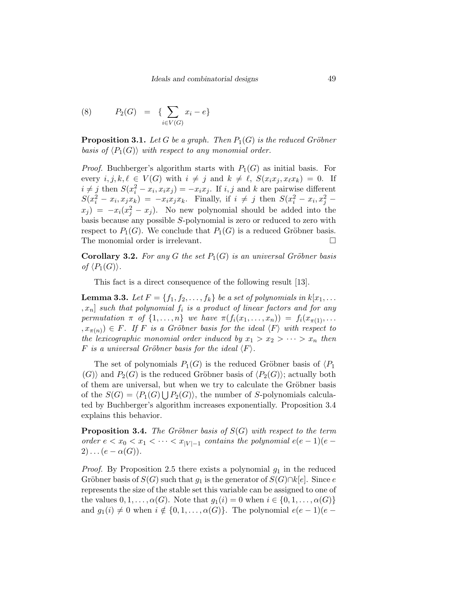(8) 
$$
P_2(G) = \{ \sum_{i \in V(G)} x_i - e \}
$$

**Proposition 3.1.** Let G be a graph. Then  $P_1(G)$  is the reduced Gröbner basis of  $\langle P_1(G) \rangle$  with respect to any monomial order.

*Proof.* Buchberger's algorithm starts with  $P_1(G)$  as initial basis. For every  $i, j, k, \ell \in V(G)$  with  $i \neq j$  and  $k \neq \ell$ ,  $S(x_i x_j, x_\ell x_k) = 0$ . If  $i \neq j$  then  $S(x_i^2 - x_i, x_i x_j) = -x_i x_j$ . If  $i, j$  and k are pairwise different  $S(x_i^2 - x_i, x_j x_k) = -x_i x_j x_k$ . Finally, if  $i \neq j$  then  $S(x_i^2 - x_i, x_j^2 - x_k)$  $(x_j) = -x_i(x_j^2 - x_j)$ . No new polynomial should be added into the basis because any possible S-polynomial is zero or reduced to zero with respect to  $P_1(G)$ . We conclude that  $P_1(G)$  is a reduced Gröbner basis. The monomial order is irrelevant.

**Corollary 3.2.** For any G the set  $P_1(G)$  is an universal Gröbner basis of  $\langle P_1(G)\rangle$ .

This fact is a direct consequence of the following result [13].

**Lemma 3.3.** Let  $F = \{f_1, f_2, \ldots, f_k\}$  be a set of polynomials in  $k[x_1, \ldots]$  $|x_n|$  such that polynomial  $f_i$  is a product of linear factors and for any permutation  $\pi$  of  $\{1, \ldots, n\}$  we have  $\pi(f_i(x_1, \ldots, x_n)) = f_i(x_{\pi(1)}, \ldots)$  $(x, x_{\pi(n)}) \in F$ . If F is a Gröbner basis for the ideal  $\langle F \rangle$  with respect to the lexicographic monomial order induced by  $x_1 > x_2 > \cdots > x_n$  then F is a universal Gröbner basis for the ideal  $\langle F \rangle$ .

The set of polynomials  $P_1(G)$  is the reduced Gröbner basis of  $\langle P_1 \rangle$  $\langle G \rangle$  and  $P_2(G)$  is the reduced Gröbner basis of  $\langle P_2(G) \rangle$ ; actually both of them are universal, but when we try to calculate the Gröbner basis of the  $S(G) = \langle P_1(G) \bigcup P_2(G) \rangle$ , the number of S-polynomials calculated by Buchberger's algorithm increases exponentially. Proposition 3.4 explains this behavior.

**Proposition 3.4.** The Gröbner basis of  $S(G)$  with respect to the term order  $e < x_0 < x_1 < \cdots < x_{|V|-1}$  contains the polynomial  $e(e-1)(e 2) \ldots (e - \alpha(G)).$ 

*Proof.* By Proposition 2.5 there exists a polynomial  $g_1$  in the reduced Gröbner basis of  $S(G)$  such that  $g_1$  is the generator of  $S(G) \cap k[e]$ . Since e represents the size of the stable set this variable can be assigned to one of the values  $0, 1, \ldots, \alpha(G)$ . Note that  $g_1(i) = 0$  when  $i \in \{0, 1, \ldots, \alpha(G)\}\$ and  $g_1(i) \neq 0$  when  $i \notin \{0, 1, \ldots, \alpha(G)\}\)$ . The polynomial  $e(e-1)(e-1)$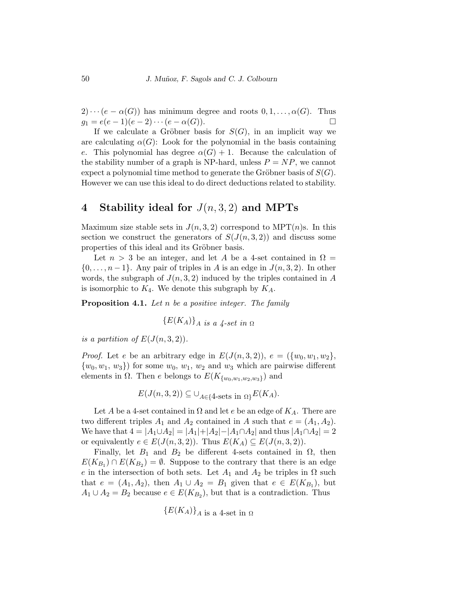$2) \cdots (e - \alpha(G))$  has minimum degree and roots  $0, 1, \ldots, \alpha(G)$ . Thus  $g_1 = e(e-1)(e-2)\cdots(e-\alpha(G)).$ 

If we calculate a Gröbner basis for  $S(G)$ , in an implicit way we are calculating  $\alpha(G)$ : Look for the polynomial in the basis containing e. This polynomial has degree  $\alpha(G) + 1$ . Because the calculation of the stability number of a graph is NP-hard, unless  $P = NP$ , we cannot expect a polynomial time method to generate the Gröbner basis of  $S(G)$ . However we can use this ideal to do direct deductions related to stability.

### 4 Stability ideal for  $J(n, 3, 2)$  and MPTs

Maximum size stable sets in  $J(n, 3, 2)$  correspond to MPT(*n*)s. In this section we construct the generators of  $S(J(n,3,2))$  and discuss some properties of this ideal and its Gröbner basis.

Let  $n > 3$  be an integer, and let A be a 4-set contained in  $\Omega =$  $\{0,\ldots,n-1\}$ . Any pair of triples in A is an edge in  $J(n,3,2)$ . In other words, the subgraph of  $J(n, 3, 2)$  induced by the triples contained in A is isomorphic to  $K_4$ . We denote this subgraph by  $K_A$ .

**Proposition 4.1.** Let n be a positive integer. The family

$$
\{E(K_A)\}_{A \text{ is a 4-set in } \Omega}
$$

is a partition of  $E(J(n,3,2))$ .

*Proof.* Let e be an arbitrary edge in  $E(J(n,3,2)), e = (\{w_0, w_1, w_2\},\$  $\{w_0, w_1, w_3\}$  for some  $w_0, w_1, w_2$  and  $w_3$  which are pairwise different elements in  $\Omega$ . Then *e* belongs to  $E(K_{\{w_0,w_1,w_2,w_3\}})$  and

$$
E(J(n,3,2)) \subseteq \bigcup_{A \in \{4\text{-sets in }\Omega\}} E(K_A).
$$

Let A be a 4-set contained in  $\Omega$  and let e be an edge of  $K_A$ . There are two different triples  $A_1$  and  $A_2$  contained in A such that  $e = (A_1, A_2)$ . We have that  $4 = |A_1 \cup A_2| = |A_1| + |A_2| - |A_1 \cap A_2|$  and thus  $|A_1 \cap A_2| = 2$ or equivalently  $e \in E(J(n,3,2))$ . Thus  $E(K_A) \subseteq E(J(n,3,2))$ .

Finally, let  $B_1$  and  $B_2$  be different 4-sets contained in  $\Omega$ , then  $E(K_{B_1}) \cap E(K_{B_2}) = \emptyset$ . Suppose to the contrary that there is an edge e in the intersection of both sets. Let  $A_1$  and  $A_2$  be triples in  $\Omega$  such that  $e = (A_1, A_2)$ , then  $A_1 \cup A_2 = B_1$  given that  $e \in E(K_{B_1})$ , but  $A_1 \cup A_2 = B_2$  because  $e \in E(K_{B_2})$ , but that is a contradiction. Thus

$$
\{E(K_A)\}_{A \text{ is a 4-set in } \Omega}
$$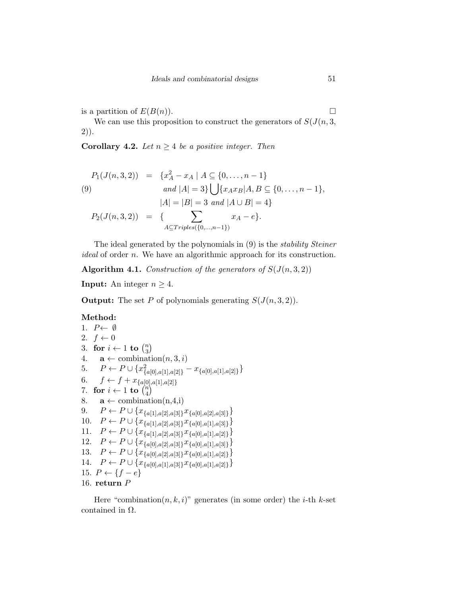is a partition of  $E(B(n))$ .

We can use this proposition to construct the generators of  $S(J(n,3,$ 2)).

**Corollary 4.2.** Let  $n \geq 4$  be a positive integer. Then

$$
P_1(J(n,3,2)) = \{x_A^2 - x_A \mid A \subseteq \{0, ..., n-1\}
$$
  
(9) and  $|A| = 3\} \bigcup \{x_A x_B | A, B \subseteq \{0, ..., n-1\},$   
 $|A| = |B| = 3$  and  $|A \cup B| = 4\}$   

$$
P_2(J(n,3,2)) = \{\sum_{A \subseteq Triples(\{0, ..., n-1\})} x_A - e\}.
$$

The ideal generated by the polynomials in (9) is the stability Steiner ideal of order n. We have an algorithmic approach for its construction.

Algorithm 4.1. Construction of the generators of  $S(J(n,3,2))$ 

**Input:** An integer  $n \geq 4$ .

**Output:** The set P of polynomials generating  $S(J(n,3,2))$ .

#### Method:

```
1. P \leftarrow \emptyset2. f \leftarrow 03. for i \leftarrow 1 to \binom{n}{3}\binom{n}{3}4. \mathbf{a} \leftarrow \text{combination}(n, 3, i)5. P \leftarrow P \cup \{x_{\{a[0],a[1],a[2]\}}^2 - x_{\{a[0],a[1],a[2]\}}\}6. f \leftarrow f + x_{\{a[0], a[1], a[2]\}}7. for i \leftarrow 1 to \binom{n}{4}\binom{n}{4}8. \mathbf{a} \leftarrow \text{combination}(n, 4, i)9. P \leftarrow P \cup \{x_{\{a[1],a[2],a[3]\}} x_{\{a[0],a[2],a[3]\}}\}10. P \leftarrow P \cup \{x_{\{a[1], a[2], a[3]\}} x_{\{a[0], a[1], a[3]\}}\}11. P \leftarrow P \cup \{x_{\{a[1],a[2],a[3]\}} x_{\{a[0],a[1],a[2]\}}\}12. P \leftarrow P \cup \{x_{\{a[0], a[2], a[3]\}} x_{\{a[0], a[1], a[3]\}}\}13. P \leftarrow P \cup \{x_{\{a[0], a[2], a[3]\}} x_{\{a[0], a[1], a[2]\}}\}14. P \leftarrow P \cup \{x_{\{a[0], a[1], a[3]\}} x_{\{a[0], a[1], a[2]\}}\}15. P \leftarrow \{f - e\}16. return P
```
Here "combination $(n, k, i)$ " generates (in some order) the *i*-th *k*-set contained in  $\Omega$ .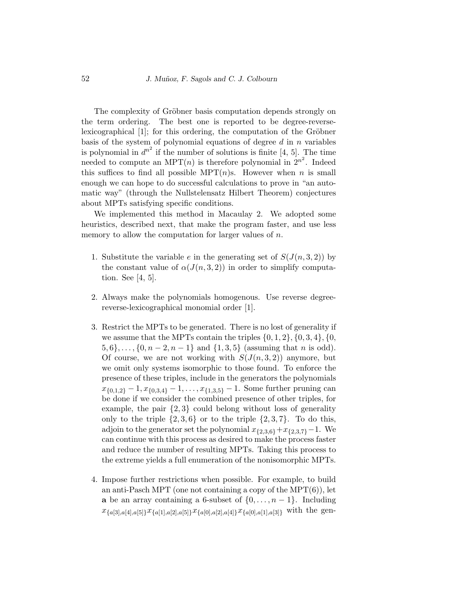The complexity of Gröbner basis computation depends strongly on the term ordering. The best one is reported to be degree-reverselexicographical [1]; for this ordering, the computation of the Gröbner basis of the system of polynomial equations of degree  $d$  in  $n$  variables is polynomial in  $d^{n^2}$  if the number of solutions is finite [4, 5]. The time needed to compute an MPT(*n*) is therefore polynomial in  $2^{n^2}$ . Indeed this suffices to find all possible MPT $(n)$ s. However when n is small enough we can hope to do successful calculations to prove in "an automatic way" (through the Nullstelensatz Hilbert Theorem) conjectures about MPTs satisfying specific conditions.

We implemented this method in Macaulay 2. We adopted some heuristics, described next, that make the program faster, and use less memory to allow the computation for larger values of  $n$ .

- 1. Substitute the variable e in the generating set of  $S(J(n,3,2))$  by the constant value of  $\alpha(J(n,3,2))$  in order to simplify computation. See [4, 5].
- 2. Always make the polynomials homogenous. Use reverse degreereverse-lexicographical monomial order [1].
- 3. Restrict the MPTs to be generated. There is no lost of generality if we assume that the MPTs contain the triples  $\{0, 1, 2\}, \{0, 3, 4\}, \{0,$  $\{5, 6\}, \ldots, \{0, n-2, n-1\}$  and  $\{1, 3, 5\}$  (assuming that *n* is odd). Of course, we are not working with  $S(J(n,3,2))$  anymore, but we omit only systems isomorphic to those found. To enforce the presence of these triples, include in the generators the polynomials  $x_{\{0,1,2\}}-1, x_{\{0,3,4\}}-1, \ldots, x_{\{1,3,5\}}-1$ . Some further pruning can be done if we consider the combined presence of other triples, for example, the pair  $\{2,3\}$  could belong without loss of generality only to the triple  $\{2,3,6\}$  or to the triple  $\{2,3,7\}$ . To do this, adjoin to the generator set the polynomial  $x_{\{2,3,6\}}+x_{\{2,3,7\}}-1$ . We can continue with this process as desired to make the process faster and reduce the number of resulting MPTs. Taking this process to the extreme yields a full enumeration of the nonisomorphic MPTs.
- 4. Impose further restrictions when possible. For example, to build an anti-Pasch MPT (one not containing a copy of the MPT $(6)$ ), let a be an array containing a 6-subset of  $\{0, \ldots, n-1\}$ . Including  $x_{\{a[3],a[4],a[5]\}}x_{\{a[1],a[2],a[5]\}}x_{\{a[0],a[2],a[4]\}}x_{\{a[0],a[1],a[3]\}}$  with the gen-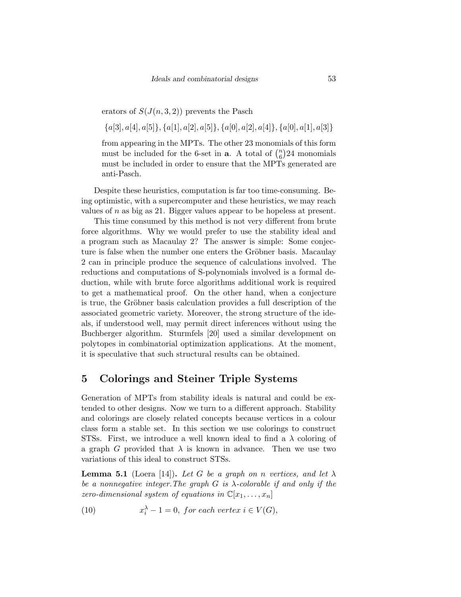erators of  $S(J(n,3,2))$  prevents the Pasch

 ${a[3], a[4], a[5]}, {a[1], a[2], a[5]}, {a[0], a[2], a[4]}, {a[0], a[1], a[3]}$ 

from appearing in the MPTs. The other 23 monomials of this form must be included for the 6-set in **a**. A total of  $\binom{n}{6}$  $\binom{n}{6}$ 24 monomials must be included in order to ensure that the MPTs generated are anti-Pasch.

Despite these heuristics, computation is far too time-consuming. Being optimistic, with a supercomputer and these heuristics, we may reach values of  $n$  as big as 21. Bigger values appear to be hopeless at present.

This time consumed by this method is not very different from brute force algorithms. Why we would prefer to use the stability ideal and a program such as Macaulay 2? The answer is simple: Some conjecture is false when the number one enters the Gröbner basis. Macaulay 2 can in principle produce the sequence of calculations involved. The reductions and computations of S-polynomials involved is a formal deduction, while with brute force algorithms additional work is required to get a mathematical proof. On the other hand, when a conjecture is true, the Gröbner basis calculation provides a full description of the associated geometric variety. Moreover, the strong structure of the ideals, if understood well, may permit direct inferences without using the Buchberger algorithm. Sturmfels [20] used a similar development on polytopes in combinatorial optimization applications. At the moment, it is speculative that such structural results can be obtained.

## 5 Colorings and Steiner Triple Systems

Generation of MPTs from stability ideals is natural and could be extended to other designs. Now we turn to a different approach. Stability and colorings are closely related concepts because vertices in a colour class form a stable set. In this section we use colorings to construct STSs. First, we introduce a well known ideal to find a  $\lambda$  coloring of a graph G provided that  $\lambda$  is known in advance. Then we use two variations of this ideal to construct STSs.

**Lemma 5.1** (Loera [14]). Let G be a graph on n vertices, and let  $\lambda$ be a nonnegative integer. The graph  $G$  is  $\lambda$ -colorable if and only if the zero-dimensional system of equations in  $\mathbb{C}[x_1, \ldots, x_n]$ 

(10) 
$$
x_i^{\lambda} - 1 = 0, \text{ for each vertex } i \in V(G),
$$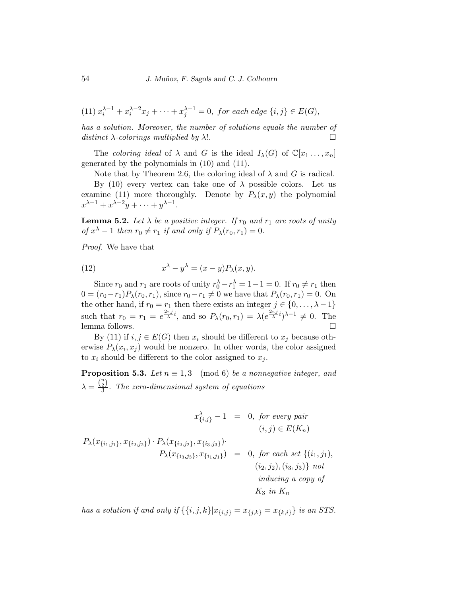(11) 
$$
x_i^{\lambda-1} + x_i^{\lambda-2}x_j + \cdots + x_j^{\lambda-1} = 0
$$
, for each edge  $\{i, j\} \in E(G)$ ,

has a solution. Moreover, the number of solutions equals the number of distinct  $\lambda$ -colorings multiplied by  $\lambda$ !.

The coloring ideal of  $\lambda$  and G is the ideal  $I_{\lambda}(G)$  of  $\mathbb{C}[x_1, \ldots, x_n]$ generated by the polynomials in (10) and (11).

Note that by Theorem 2.6, the coloring ideal of  $\lambda$  and G is radical.

By (10) every vertex can take one of  $\lambda$  possible colors. Let us examine (11) more thoroughly. Denote by  $P_{\lambda}(x, y)$  the polynomial  $x^{\lambda-1} + x^{\lambda-2}y + \cdots + y^{\lambda-1}.$ 

**Lemma 5.2.** Let  $\lambda$  be a positive integer. If  $r_0$  and  $r_1$  are roots of unity of  $x^{\lambda} - 1$  then  $r_0 \neq r_1$  if and only if  $P_{\lambda}(r_0, r_1) = 0$ .

Proof. We have that

(12) 
$$
x^{\lambda} - y^{\lambda} = (x - y)P_{\lambda}(x, y).
$$

Since  $r_0$  and  $r_1$  are roots of unity  $r_0^{\lambda} - r_1^{\lambda} = 1 - 1 = 0$ . If  $r_0 \neq r_1$  then  $0 = (r_0 - r_1)P_\lambda(r_0, r_1)$ , since  $r_0 - r_1 \neq 0$  we have that  $P_\lambda(r_0, r_1) = 0$ . On the other hand, if  $r_0 = r_1$  then there exists an integer  $j \in \{0, \ldots, \lambda - 1\}$ such that  $r_0 = r_1 = e^{\frac{2\pi j}{\lambda}i}$ , and so  $P_\lambda(r_0, r_1) = \lambda(e^{\frac{2\pi j}{\lambda}i})^{\lambda-1} \neq 0$ . The lemma follows.  $\Box$ 

By (11) if  $i, j \in E(G)$  then  $x_i$  should be different to  $x_j$  because otherwise  $P_{\lambda}(x_i, x_j)$  would be nonzero. In other words, the color assigned to  $x_i$  should be different to the color assigned to  $x_i$ .

**Proposition 5.3.** Let  $n \equiv 1, 3 \pmod{6}$  be a nonnegative integer, and  $\lambda = \frac{\binom{n}{2}}{3}$  $\frac{2J}{3}$ . The zero-dimensional system of equations

$$
x_{\{i,j\}}^{\lambda} - 1 = 0, \text{ for every pair}
$$
  
\n
$$
(i,j) \in E(K_n)
$$
  
\n
$$
P_{\lambda}(x_{\{i_1,j_1\}}, x_{\{i_2,j_2\}}) \cdot P_{\lambda}(x_{\{i_2,j_2\}}, x_{\{i_3,j_3\}}).
$$
  
\n
$$
P_{\lambda}(x_{\{i_3,j_3\}}, x_{\{i_1,j_1\}}) = 0, \text{ for each set } \{(i_1,j_1), (i_2,j_2), (i_3,j_3)\} \text{ not}
$$
  
\n
$$
(i_2,j_2), (i_3,j_3) \} \text{ not}
$$
  
\n
$$
K_3 \text{ in } K_n
$$

has a solution if and only if  $\{\{i, j, k\} | x_{\{i, j\}} = x_{\{j, k\}} = x_{\{k, i\}}\}$  is an STS.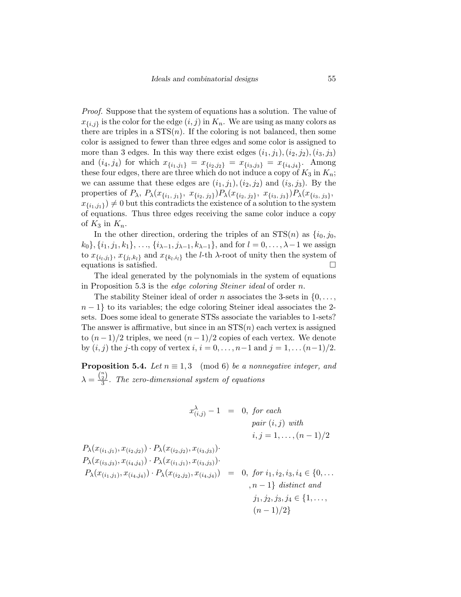Proof. Suppose that the system of equations has a solution. The value of  $x_{\{i,j\}}$  is the color for the edge  $(i, j)$  in  $K_n$ . We are using as many colors as there are triples in a  $STS(n)$ . If the coloring is not balanced, then some color is assigned to fewer than three edges and some color is assigned to more than 3 edges. In this way there exist edges  $(i_1, j_1), (i_2, j_2), (i_3, j_3)$ and  $(i_4, j_4)$  for which  $x_{\{i_1, j_1\}} = x_{\{i_2, j_2\}} = x_{\{i_3, j_3\}} = x_{\{i_4, j_4\}}$ . Among these four edges, there are three which do not induce a copy of  $K_3$  in  $K_n$ ; we can assume that these edges are  $(i_1, j_1), (i_2, j_2)$  and  $(i_3, j_3)$ . By the properties of  $P_{\lambda}$ ,  $P_{\lambda}(x_{\{i_1, j_1\}}, x_{\{i_2, j_2\}}) P_{\lambda}(x_{\{i_2, j_2\}}, x_{\{i_3, j_3\}}) P_{\lambda}(x_{\{i_3, j_3\}},$  $(x_{\{i_1,j_1\}}) \neq 0$  but this contradicts the existence of a solution to the system of equations. Thus three edges receiving the same color induce a copy of  $K_3$  in  $K_n$ .

In the other direction, ordering the triples of an  $STS(n)$  as  $\{i_0, j_0,$  $k_0$ ,  $\{i_1, j_1, k_1\}, \ldots, \{i_{\lambda-1}, j_{\lambda-1}, k_{\lambda-1}\},$  and for  $l = 0, \ldots, \lambda-1$  we assign to  $x_{\{i_l, j_l\}}, x_{\{j_l, k_l\}}$  and  $x_{\{k_l, i_l\}}$  the *l*-th  $\lambda$ -root of unity then the system of equations is satisfied.

The ideal generated by the polynomials in the system of equations in Proposition 5.3 is the edge coloring Steiner ideal of order n.

The stability Steiner ideal of order n associates the 3-sets in  $\{0, \ldots, \}$  $n-1$ } to its variables; the edge coloring Steiner ideal associates the 2sets. Does some ideal to generate STSs associate the variables to 1-sets? The answer is affirmative, but since in an  $STS(n)$  each vertex is assigned to  $(n-1)/2$  triples, we need  $(n-1)/2$  copies of each vertex. We denote by  $(i, j)$  the j-th copy of vertex  $i, i = 0, ..., n-1$  and  $j = 1, ..., (n-1)/2$ .

**Proposition 5.4.** Let  $n \equiv 1, 3 \pmod{6}$  be a nonnegative integer, and  $\lambda = \frac{\binom{n}{2}}{3}$  $\frac{2J}{3}$ . The zero-dimensional system of equations

$$
x_{(i,j)}^{\lambda} - 1 = 0, \text{ for each}
$$
  
\n
$$
pair (i, j) \text{ with}
$$
  
\n
$$
i, j = 1, ..., (n - 1)/2
$$
  
\n
$$
P_{\lambda}(x_{(i_1,j_1)}, x_{(i_2,j_2)}) \cdot P_{\lambda}(x_{(i_2,j_2)}, x_{(i_3,j_3)}) \cdot P_{\lambda}(x_{(i_1,j_1)}, x_{(i_3,j_3)}) \cdot P_{\lambda}(x_{(i_1,j_1)}, x_{(i_2,j_2)}, x_{(i_4,j_4)}) = 0, \text{ for } i_1, i_2, i_3, i_4 \in \{0, ..., n - 1\} \text{ distinct and}
$$
  
\n
$$
j_1, j_2, j_3, j_4 \in \{1, ..., (n - 1)/2\}
$$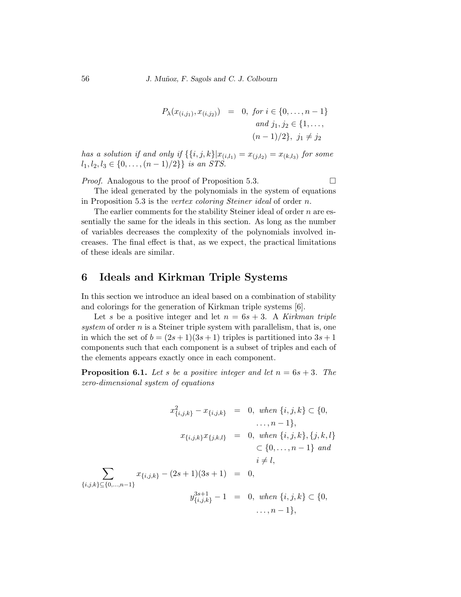$$
P_{\lambda}(x_{(i,j_1)}, x_{(i,j_2)}) = 0, \text{ for } i \in \{0, \dots, n-1\}
$$
  
and  $j_1, j_2 \in \{1, \dots, n-1\}$   
 $(n-1)/2\}, \text{ } j_1 \neq j_2$ 

has a solution if and only if  $\{\{i,j,k\}|x_{(i,l_1)} = x_{(j,l_2)} = x_{(k,l_3)}$  for some  $l_1, l_2, l_3 \in \{0, \ldots, (n-1)/2\}\}\$ is an STS.

*Proof.* Analogous to the proof of Proposition 5.3.  $\Box$ 

The ideal generated by the polynomials in the system of equations in Proposition 5.3 is the vertex coloring Steiner ideal of order n.

The earlier comments for the stability Steiner ideal of order  $n$  are essentially the same for the ideals in this section. As long as the number of variables decreases the complexity of the polynomials involved increases. The final effect is that, as we expect, the practical limitations of these ideals are similar.

# 6 Ideals and Kirkman Triple Systems

In this section we introduce an ideal based on a combination of stability and colorings for the generation of Kirkman triple systems [6].

Let s be a positive integer and let  $n = 6s + 3$ . A Kirkman triple system of order  $n$  is a Steiner triple system with parallelism, that is, one in which the set of  $b = (2s + 1)(3s + 1)$  triples is partitioned into  $3s + 1$ components such that each component is a subset of triples and each of the elements appears exactly once in each component.

**Proposition 6.1.** Let s be a positive integer and let  $n = 6s + 3$ . The zero-dimensional system of equations

$$
x_{\{i,j,k\}}^2 - x_{\{i,j,k\}} = 0, \text{ when } \{i,j,k\} \subset \{0, \ldots, n-1\},
$$
  
\n
$$
x_{\{i,j,k\}}x_{\{j,k,l\}} = 0, \text{ when } \{i,j,k\}, \{j,k,l\} \subset \{0, \ldots, n-1\} \text{ and }
$$
  
\n
$$
i \neq l,
$$
  
\n
$$
\sum_{\{i,j,k\} \subseteq \{0,\ldots, n-1\}} x_{\{i,j,k\}} - (2s+1)(3s+1) = 0,
$$
  
\n
$$
y_{\{i,j,k\}}^{3s+1} - 1 = 0, \text{ when } \{i,j,k\} \subset \{0, \ldots, n-1\},
$$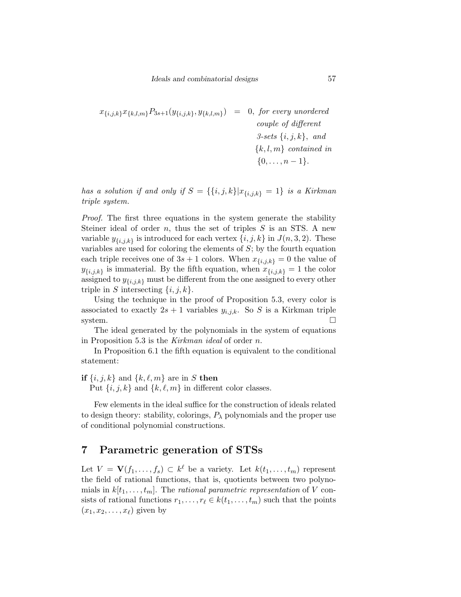$$
x_{\{i,j,k\}}x_{\{k,l,m\}}P_{3s+1}(y_{\{i,j,k\}},y_{\{k,l,m\}}) = 0, \text{ for every unordered}
$$
  
couple of different  

$$
3\text{-sets }\{i,j,k\}, \text{ and}
$$
  

$$
\{k,l,m\} \text{ contained in}
$$
  

$$
\{0,\ldots,n-1\}.
$$

has a solution if and only if  $S = \{\{i, j, k\} | x_{\{i, j, k\}} = 1\}$  is a Kirkman triple system.

Proof. The first three equations in the system generate the stability Steiner ideal of order  $n$ , thus the set of triples  $S$  is an STS. A new variable  $y_{\{i,j,k\}}$  is introduced for each vertex  $\{i,j,k\}$  in  $J(n,3,2)$ . These variables are used for coloring the elements of S; by the fourth equation each triple receives one of  $3s + 1$  colors. When  $x_{\{i,j,k\}} = 0$  the value of  $y_{\{i,j,k\}}$  is immaterial. By the fifth equation, when  $x_{\{i,j,k\}} = 1$  the color assigned to  $y_{\{i,j,k\}}$  must be different from the one assigned to every other triple in S intersecting  $\{i, j, k\}.$ 

Using the technique in the proof of Proposition 5.3, every color is associated to exactly  $2s + 1$  variables  $y_{i,j,k}$ . So S is a Kirkman triple system.  $\square$ 

The ideal generated by the polynomials in the system of equations in Proposition 5.3 is the Kirkman ideal of order n.

In Proposition 6.1 the fifth equation is equivalent to the conditional statement:

#### if  $\{i, j, k\}$  and  $\{k, \ell, m\}$  are in S then

Put  $\{i, j, k\}$  and  $\{k, \ell, m\}$  in different color classes.

Few elements in the ideal suffice for the construction of ideals related to design theory: stability, colorings,  $P_{\lambda}$  polynomials and the proper use of conditional polynomial constructions.

# 7 Parametric generation of STSs

Let  $V = \mathbf{V}(f_1, \ldots, f_s) \subset k^{\ell}$  be a variety. Let  $k(t_1, \ldots, t_m)$  represent the field of rational functions, that is, quotients between two polynomials in  $k[t_1, \ldots, t_m]$ . The rational parametric representation of V consists of rational functions  $r_1, \ldots, r_\ell \in k(t_1, \ldots, t_m)$  such that the points  $(x_1, x_2, \ldots, x_\ell)$  given by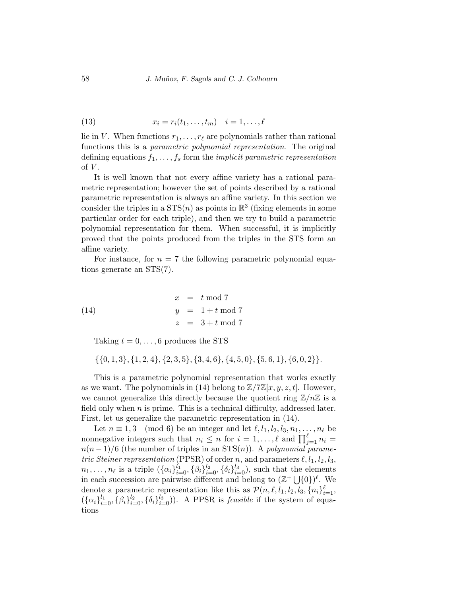$$
(13) \t x_i = r_i(t_1,\ldots,t_m) \t i = 1,\ldots,\ell
$$

lie in V. When functions  $r_1, \ldots, r_\ell$  are polynomials rather than rational functions this is a parametric polynomial representation. The original defining equations  $f_1, \ldots, f_s$  form the *implicit parametric representation* of  $V$ .

It is well known that not every affine variety has a rational parametric representation; however the set of points described by a rational parametric representation is always an affine variety. In this section we consider the triples in a  $STS(n)$  as points in  $\mathbb{R}^3$  (fixing elements in some particular order for each triple), and then we try to build a parametric polynomial representation for them. When successful, it is implicitly proved that the points produced from the triples in the STS form an affine variety.

For instance, for  $n = 7$  the following parametric polynomial equations generate an STS(7).

(14) 
$$
x = t \mod 7
$$

$$
y = 1 + t \mod 7
$$

$$
z = 3 + t \mod 7
$$

Taking  $t = 0, \ldots, 6$  produces the STS

 $\{\{0, 1, 3\}, \{1, 2, 4\}, \{2, 3, 5\}, \{3, 4, 6\}, \{4, 5, 0\}, \{5, 6, 1\}, \{6, 0, 2\}\}.$ 

This is a parametric polynomial representation that works exactly as we want. The polynomials in (14) belong to  $\mathbb{Z}/7\mathbb{Z}[x, y, z, t]$ . However, we cannot generalize this directly because the quotient ring  $\mathbb{Z}/n\mathbb{Z}$  is a field only when  $n$  is prime. This is a technical difficulty, addressed later. First, let us generalize the parametric representation in (14).

Let  $n \equiv 1, 3 \pmod{6}$  be an integer and let  $\ell, l_1, l_2, l_3, n_1, \ldots, n_\ell$  be nonnegative integers such that  $n_i \leq n$  for  $i = 1, \ldots, \ell$  and  $\prod_{j=1}^{\ell} n_i =$  $n(n-1)/6$  (the number of triples in an STS(n)). A polynomial parametric Steiner representation (PPSR) of order n, and parameters  $\ell, l_1, l_2, l_3$ ,  $n_1, \ldots, n_\ell$  is a triple  $({\{\alpha_i\}}_{i=0}^{l_1}, {\{\beta_i\}}_{i=0}^{l_2}, {\{\delta_i\}}_{i=0}^{l_3}),$  such that the elements in each succession are pairwise different and belong to  $(\mathbb{Z}^+ \bigcup \{0\})^{\ell}$ . We denote a parametric representation like this as  $\mathcal{P}(n, \ell, l_1, l_2, l_3, \{n_i\}_{i=1}^{\ell},$  $({\{\alpha_i\}}_{i=0}^{l_1}, {\{\beta_i\}}_{i=0}^{l_2}, {\{\delta_i\}}_{i=0}^{l_3})$ . A PPSR is *feasible* if the system of equations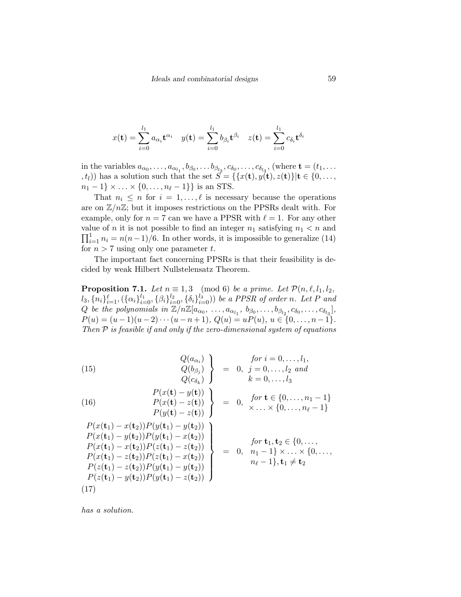$$
x(\mathbf{t}) = \sum_{i=0}^{l_1} a_{\alpha_i} \mathbf{t}^{\alpha_i} \quad y(\mathbf{t}) = \sum_{i=0}^{l_1} b_{\beta_i} \mathbf{t}^{\beta_i} \quad z(\mathbf{t}) = \sum_{i=0}^{l_1} c_{\delta_i} \mathbf{t}^{\delta_i}
$$

in the variables  $a_{\alpha_0}, \ldots, a_{\alpha_{l_1}}, b_{\beta_0}, \ldots, b_{\beta_{l_2}}, c_{\delta_0}, \ldots, c_{\delta_{l_3}},$  (where  $\mathbf{t} = (t_1, \ldots, t_n)$  $(t, t)$ ) has a solution such that the set  $S = \{x(t), y(t), z(t)\} | t \in \{0, \ldots, \}$  $n_1 - 1$  × ... × {0, ...,  $n_\ell - 1$ } is an STS.

That  $n_i \leq n$  for  $i = 1, \ldots, \ell$  is necessary because the operations are on  $\mathbb{Z}/n\mathbb{Z}$ ; but it imposes restrictions on the PPSRs dealt with. For example, only for  $n = 7$  can we have a PPSR with  $\ell = 1$ . For any other value of n it is not possible to find an integer  $n_1$  satisfying  $n_1 < n$  and  $\prod_{i=1}^{1} n_i = n(n-1)/6$ . In other words, it is impossible to generalize (14) for  $n > 7$  using only one parameter t.

The important fact concerning PPSRs is that their feasibility is decided by weak Hilbert Nullstelensatz Theorem.

**Proposition 7.1.** Let  $n \equiv 1, 3 \pmod{6}$  be a prime. Let  $\mathcal{P}(n, \ell, l_1, l_2,$  $l_3, \{n_i\}_{i=1}^{\ell}, (\{\alpha_i\}_{i=0}^{l_1}, \{\beta_i\}_{i=0}^{l_2}, \{\delta_i\}_{i=0}^{l_3}))$  be a PPSR of order n. Let P and Q be the polynomials in  $\mathbb{Z}/n\mathbb{Z}[a_{\alpha_0}, \ldots, a_{\alpha_{l_1}}, b_{\beta_0}, \ldots, b_{\beta_{l_2}}, c_{\delta_0}, \ldots, c_{\delta_{l_3}}],$  $P(u) = (u-1)(u-2)\cdots(u-n+1), Q(u) = uP(u), u \in \{0,\ldots,n-1\}.$ Then  $P$  is feasible if and only if the zero-dimensional system of equations

(15) 
$$
\left.\begin{array}{c} Q(a_{\alpha_{i}}) \\ Q(b_{\beta_{j}}) \\ Q(c_{\delta_{k}}) \end{array}\right\} = 0, \ j = 0, \ldots, l_{2} \text{ and } \\ Q(c_{\delta_{k}}) \qquad k = 0, \ldots, l_{3} \text{ and } \\ P(x(\mathbf{t}) - y(\mathbf{t})) \\ P(y(\mathbf{t}) - z(\mathbf{t})) \qquad P(y(\mathbf{t}) - z(\mathbf{t})) \\ P(x(\mathbf{t}_{1}) - x(\mathbf{t}_{2}))P(y(\mathbf{t}_{1}) - y(\mathbf{t}_{2})) \\ P(x(\mathbf{t}_{1}) - y(\mathbf{t}_{2}))P(y(\mathbf{t}_{1}) - x(\mathbf{t}_{2})) \\ P(x(\mathbf{t}_{1}) - y(\mathbf{t}_{2}))P(z(\mathbf{t}_{1}) - z(\mathbf{t}_{2})) \\ P(x(\mathbf{t}_{1}) - z(\mathbf{t}_{2}))P(z(\mathbf{t}_{1}) - z(\mathbf{t}_{2})) \\ P(x(\mathbf{t}_{1}) - z(\mathbf{t}_{2}))P(z(\mathbf{t}_{1}) - z(\mathbf{t}_{2})) \\ P(z(\mathbf{t}_{1}) - z(\mathbf{t}_{2}))P(y(\mathbf{t}_{1}) - y(\mathbf{t}_{2})) \\ P(z(\mathbf{t}_{1}) - y(\mathbf{t}_{2}))P(y(\mathbf{t}_{1}) - z(\mathbf{t}_{2})) \\ P(z(\mathbf{t}_{1}) - y(\mathbf{t}_{2}))P(y(\mathbf{t}_{1}) - z(\mathbf{t}_{2})) \end{array}\right\} = 0, \ n_{1} - 1}^{for \ i = 0, \ldots, l_{1}, l_{2} \text{ and } l_{3} \text{ and } l_{4} \text{ and } l_{5} \text{ and } l_{6} \text{ and } l_{7} \text{ and } l_{8} \text{ and } l_{9} \text{ and } l_{10} \text{ and } l_{11} \text{ and } l_{22} \text{ and } l_{3} \text{ and } l_{4} \text{ and } l_{5} \text{ and } l_{6} \text{ and } l_{7} \text{ and } l_{8} \text{ and } l_{9} \text{ and } l_{10} \text{ and } l_{11} \text{ and } l_{12} \text{ and } l_{13} \text{ and } l_{23} \text{ and } l_{3} \text{ and } l_{4} \text{ and } l_{5} \
$$

has a solution.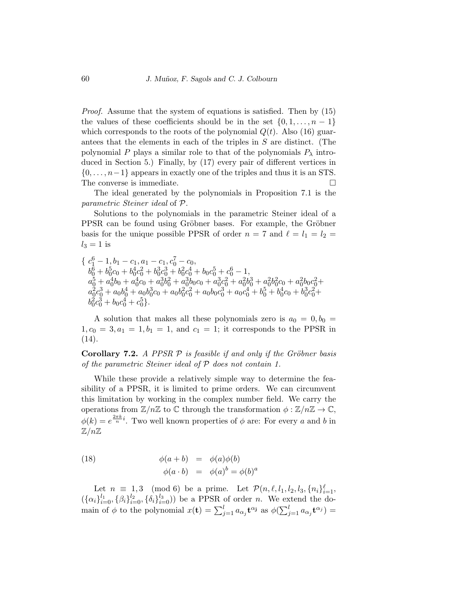Proof. Assume that the system of equations is satisfied. Then by (15) the values of these coefficients should be in the set  $\{0, 1, \ldots, n-1\}$ which corresponds to the roots of the polynomial  $Q(t)$ . Also (16) guarantees that the elements in each of the triples in S are distinct. (The polynomial P plays a similar role to that of the polynomials  $P_{\lambda}$  introduced in Section 5.) Finally, by (17) every pair of different vertices in  $\{0, \ldots, n-1\}$  appears in exactly one of the triples and thus it is an STS. The converse is immediate.

The ideal generated by the polynomials in Proposition 7.1 is the parametric Steiner ideal of P.

Solutions to the polynomials in the parametric Steiner ideal of a PPSR can be found using Gröbner bases. For example, the Gröbner basis for the unique possible PPSR of order  $n = 7$  and  $\ell = l_1 = l_2 =$  $l_3 = 1$  is

{ $c_1^6-1, b_1-c_1, a_1-c_1, c_0^7-c_0,$  $b_0^6 + b_0^5c_0 + b_0^4c_0^2 + b_0^3c_0^3 + b_0^2c_0^4 + b_0c_0^5 + c_0^6 - 1,$  $a_{0}^5 + a_{0}^4b_{0} + a_{0}^4c_{0} + a_{0}^3b_{0}^2 + a_{0}^3b_{0}c_{0} + a_{0}^3c_{0}^2 + a_{0}^2b_{0}^3 + a_{0}^2b_{0}^2c_{0} + a_{0}^2b_{0}c_{0}^2 +$  $a_0^2c_0^3 + a_0b_0^4 + a_0b_0^3c_0 + a_0b_0^2c_0^2 + a_0b_0c_0^3 + a_0c_0^4 + b_0^5 + b_0^4c_0 + b_0^3c_0^2 +$  $b_0^2c_0^3 + b_0c_0^4 + c_0^5$ .

A solution that makes all these polynomials zero is  $a_0 = 0, b_0 =$  $1, c_0 = 3, a_1 = 1, b_1 = 1,$  and  $c_1 = 1$ ; it corresponds to the PPSR in (14).

**Corollary 7.2.** A PPSR  $P$  is feasible if and only if the Gröbner basis of the parametric Steiner ideal of  $P$  does not contain 1.

While these provide a relatively simple way to determine the feasibility of a PPSR, it is limited to prime orders. We can circumvent this limitation by working in the complex number field. We carry the operations from  $\mathbb{Z}/n\mathbb{Z}$  to  $\mathbb C$  through the transformation  $\phi : \mathbb{Z}/n\mathbb{Z} \to \mathbb{C}$ ,  $\phi(k) = e^{\frac{2\pi k}{n}i}$ . Two well known properties of  $\phi$  are: For every a and b in  $\mathbb{Z}/n\mathbb{Z}$ 

(18) 
$$
\begin{array}{rcl}\n\phi(a+b) & = & \phi(a)\phi(b) \\
\phi(a \cdot b) & = & \phi(a)^b = \phi(b)^a\n\end{array}
$$

Let  $n \equiv 1, 3 \pmod{6}$  be a prime. Let  $\mathcal{P}(n, \ell, l_1, l_2, l_3, \{n_i\}_{i=1}^{\ell},$  $({{\alpha_i}}_{i=0}^{l_1}, {\beta_i}_{i=0}^{l_2}, {\{\delta_i}\}_{i=0}^{l_3})$  be a PPSR of order *n*. We extend the domain of  $\phi$  to the polynomial  $x(\mathbf{t}) = \sum_{j=1}^{l} a_{\alpha_j} \mathbf{t}^{\alpha_j}$  as  $\phi(\sum_{j=1}^{l} a_{\alpha_j} \mathbf{t}^{\alpha_j}) =$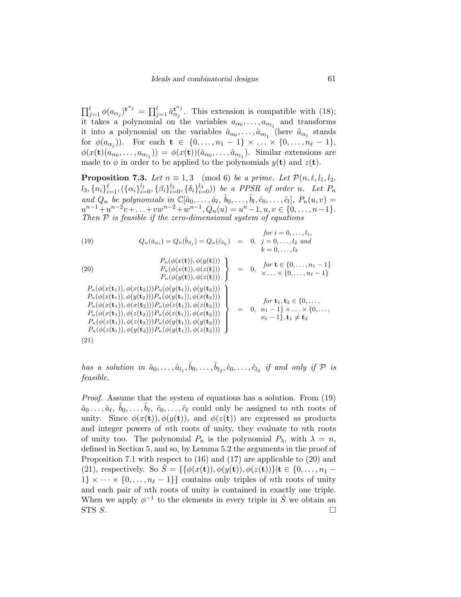$\prod_{j=1}^l \phi(a_{\alpha_j})^{\mathbf{t}^{\alpha_j}} = \prod_{j=1}^l \hat{a}_{\alpha_j}^{\mathbf{t}^{\alpha_j}}$  $\mathfrak{t}_{\alpha_j}^{\mathfrak{t}_{\alpha_j}}$ . This extension is compatible with (18); it takes a polynomial on the variables  $a_{\alpha_0}, \ldots, a_{\alpha_{l_1}}$  and transforms it into a polynomial on the variables  $\hat{a}_{\alpha_0}, \dots, \hat{a}_{\alpha_{l_1}}$  (here  $\hat{a}_{\alpha_j}$  stands for  $\phi(a_{\alpha_j})$ ). For each  $\mathbf{t} \in \{0, \ldots, n_1 - 1\} \times \ldots \times \{0, \ldots, n_\ell - 1\},$  $\phi(x(\mathbf{t})(a_{\alpha_0},\ldots,a_{\alpha_{l_1}})) = \phi(x(\mathbf{t}))(\hat{a}_{\alpha_0},\ldots,\hat{a}_{\alpha_{l_1}}).$  Similar extensions are made to  $\phi$  in order to be applied to the polynomials  $y(t)$  and  $z(t)$ .

**Proposition 7.3.** Let  $n \equiv 1, 3 \pmod{6}$  be a prime. Let  $\mathcal{P}(n, \ell, l_1, l_2,$  $l_3, \{n_i\}_{i=1}^{\ell}, (\{\alpha_i\}_{i=0}^{l_1}, \{\beta_i\}_{i=0}^{l_2}, \{\delta_i\}_{i=0}^{l_3}))$  be a PPSR of order n. Let  $P_n$ and  $Q_n$  be polynomials in  $\mathbb{C}[\hat{a}_0,\ldots,\hat{a}_l,\hat{b}_0,\ldots,\hat{b}_l,\hat{c}_0,\ldots,\hat{c}_l], P_n(u,v) =$  $u^{n-1} + u^{n-2}v + \ldots + vw^{n-2} + w^{n-1}, Q_n(u) = u^n - 1, u, v \in \{0, \ldots, n-1\}.$ Then  $P$  is feasible if the zero-dimensional system of equations

(19) 
$$
Q_n(\hat{a}_{\alpha_i}) = Q_n(\hat{b}_{\beta_j}) = Q_n(\hat{c}_{\delta_k}) = 0, \quad j = 0, ..., l_2 \text{ and}
$$

$$
k = 0, ..., l_3
$$

(20) 
$$
\left\{\n\begin{array}{ll}\nP_n(\phi(x(\mathbf{t})), \phi(y(\mathbf{t}))) \\
P_n(\phi(x(\mathbf{t})), \phi(z(\mathbf{t})))\n\end{array}\n\right\} = 0, \quad \text{for } \mathbf{t} \in \{0, \ldots, n_1 - 1\} \\
\left\{\n\begin{array}{ll}\nP_n(\phi(y(\mathbf{t})), \phi(z(\mathbf{t}))) \\
P_n(\phi(y(\mathbf{t})), \phi(z(\mathbf{t})))\n\end{array}\n\right\} = 0, \quad \text{for } \mathbf{t} \in \{0, \ldots, n_1 - 1\} \\
\left\{\n\begin{array}{ll}\nP_n(\phi(x(\mathbf{t}_1)), \phi(x(\mathbf{t}_2))) \\
P_n(\phi(x(\mathbf{t}_1)), \phi(y(\mathbf{t}_2)))\n\end{array}\n\right\} = 0, \quad \text{for } \mathbf{t}_1, \mathbf{t}_2 \in \{0, \ldots, n_1 - 1\} \\
\left\{\n\begin{array}{ll}\nP_n(\phi(x(\mathbf{t}_1)), \phi(x(\mathbf{t}_2))) \\
P_n(\phi(x(\mathbf{t}_1)), \phi(x(\mathbf{t}_2)))\n\end{array}\n\right\} = 0, \quad \text{for } \mathbf{t}_1, \mathbf{t}_2 \in \{0, \ldots, n_1 - 1\} \times \ldots \times \{0, \ldots, n_1 - 1\} \\
\left\{\n\begin{array}{ll}\nP_n(\phi(x(\mathbf{t}_1)), \phi(z(\mathbf{t}_2))) \\
P_n(\phi(z(\mathbf{t}_1)), \phi(z(\mathbf{t}_2))) \\
P_n(\phi(z(\mathbf{t}_1)), \phi(y(\mathbf{t}_2)))\n\end{array}\n\right\} = 0, \quad \text{for } \mathbf{t}_1, \mathbf{t}_2 \in \{0, \ldots, n_1 - 1\} \times \ldots \times \{0, \ldots, n_1 - 1\} \\
\left\{\n\begin{array}{ll}\nP_n(\phi(x(\mathbf{t}_1)), \phi(x(\mathbf{t}_2))) \\
P_n(\phi(z(\mathbf{t}_1)), \phi(z(\mathbf{t}_2)))\n\end{array}\n\right\} = 0, \quad \text{for } \mathbf{t}_1, \mathbf{t}_2 \in \{0, \ldots, n_1 - 1\} \times \ld
$$

has a solution in  $\hat{a}_0, \ldots, \hat{a}_{l_1}, \hat{b}_0, \ldots, \hat{b}_{l_2}, \hat{c}_0, \ldots, \hat{c}_{l_3}$  if and only if  $\mathcal P$  is feasible.

Proof. Assume that the system of equations has a solution. From (19)  $\hat{a}_0 \dots, \hat{a}_\ell, \ \hat{b}_0, \dots, \hat{b}_\ell, \ \hat{c}_0, \dots, \hat{c}_\ell$  could only be assigned to nth roots of unity. Since  $\phi(x(t)), \phi(y(t)),$  and  $\phi(z(t))$  are expressed as products and integer powers of nth roots of unity, they evaluate to nth roots of unity too. The polynomial  $P_n$  is the polynomial  $P_\lambda$ , with  $\lambda = n$ , defined in Section 5, and so, by Lemma 5.2 the arguments in the proof of Proposition 7.1 with respect to (16) and (17) are applicable to (20) and (21), respectively. So  $\hat{S} = \{\{\phi(x(t)), \phi(y(t)), \phi(z(t))\} | t \in \{0, ..., n_1 1\} \times \cdots \times \{0, \ldots, n_\ell - 1\}$  contains only triples of nth roots of unity and each pair of nth roots of unity is contained in exactly one triple. When we apply  $\phi^{-1}$  to the elements in every triple in  $\hat{S}$  we obtain an STS  $S$ .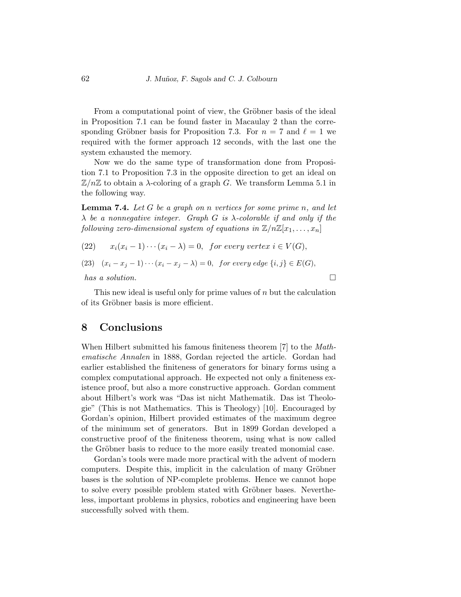From a computational point of view, the Gröbner basis of the ideal in Proposition 7.1 can be found faster in Macaulay 2 than the corresponding Gröbner basis for Proposition 7.3. For  $n = 7$  and  $\ell = 1$  we required with the former approach 12 seconds, with the last one the system exhausted the memory.

Now we do the same type of transformation done from Proposition 7.1 to Proposition 7.3 in the opposite direction to get an ideal on  $\mathbb{Z}/n\mathbb{Z}$  to obtain a  $\lambda$ -coloring of a graph G. We transform Lemma 5.1 in the following way.

**Lemma 7.4.** Let G be a graph on n vertices for some prime n, and let  $\lambda$  be a nonnegative integer. Graph G is  $\lambda$ -colorable if and only if the following zero-dimensional system of equations in  $\mathbb{Z}/n\mathbb{Z}[x_1,\ldots,x_n]$ 

(22) 
$$
x_i(x_i - 1) \cdots (x_i - \lambda) = 0
$$
, for every vertex  $i \in V(G)$ ,  
\n(23)  $(x_i - x_j - 1) \cdots (x_i - x_j - \lambda) = 0$ , for every edge  $\{i, j\} \in E(G)$ ,  
\nhas a solution.

This new ideal is useful only for prime values of  $n$  but the calculation of its Gröbner basis is more efficient.

### 8 Conclusions

When Hilbert submitted his famous finiteness theorem [7] to the *Math*ematische Annalen in 1888, Gordan rejected the article. Gordan had earlier established the finiteness of generators for binary forms using a complex computational approach. He expected not only a finiteness existence proof, but also a more constructive approach. Gordan comment about Hilbert's work was "Das ist nicht Mathematik. Das ist Theologie" (This is not Mathematics. This is Theology) [10]. Encouraged by Gordan's opinion, Hilbert provided estimates of the maximum degree of the minimum set of generators. But in 1899 Gordan developed a constructive proof of the finiteness theorem, using what is now called the Gröbner basis to reduce to the more easily treated monomial case.

Gordan's tools were made more practical with the advent of modern computers. Despite this, implicit in the calculation of many Gröbner bases is the solution of NP-complete problems. Hence we cannot hope to solve every possible problem stated with Gröbner bases. Nevertheless, important problems in physics, robotics and engineering have been successfully solved with them.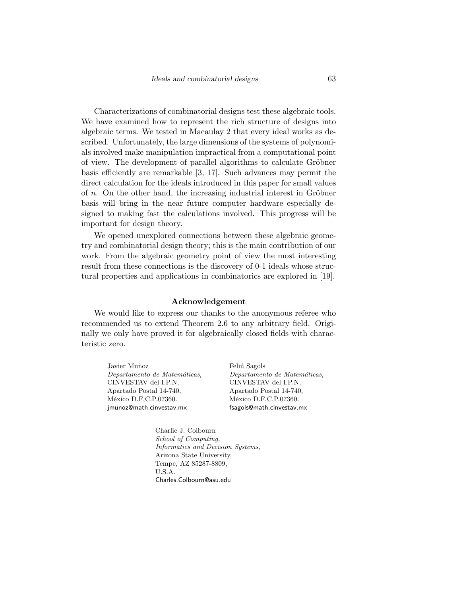Characterizations of combinatorial designs test these algebraic tools. We have examined how to represent the rich structure of designs into algebraic terms. We tested in Macaulay 2 that every ideal works as described. Unfortunately, the large dimensions of the systems of polynomials involved make manipulation impractical from a computational point of view. The development of parallel algorithms to calculate Gröbner basis efficiently are remarkable [3, 17]. Such advances may permit the direct calculation for the ideals introduced in this paper for small values of  $n$ . On the other hand, the increasing industrial interest in Gröbner basis will bring in the near future computer hardware especially designed to making fast the calculations involved. This progress will be important for design theory.

We opened unexplored connections between these algebraic geometry and combinatorial design theory; this is the main contribution of our work. From the algebraic geometry point of view the most interesting result from these connections is the discovery of 0-1 ideals whose structural properties and applications in combinatorics are explored in [19].

#### Acknowledgement

We would like to express our thanks to the anonymous referee who recommended us to extend Theorem 2.6 to any arbitrary field. Originally we only have proved it for algebraically closed fields with characteristic zero.

Javier Muñoz Departamento de Matemáticas, CINVESTAV del I.P.N, Apartado Postal 14-740, México D.F, C.P.07360. jmunoz@math.cinvestav.mx

Feliú Sagols Departamento de Matemáticas, CINVESTAV del I.P.N, Apartado Postal 14-740, México D.F, C.P.07360. fsagols@math.cinvestav.mx

Charlie J. Colbourn School of Computing, Informatics and Decision Systems, Arizona State University, Tempe, AZ 85287-8809, U.S.A. Charles.Colbourn@asu.edu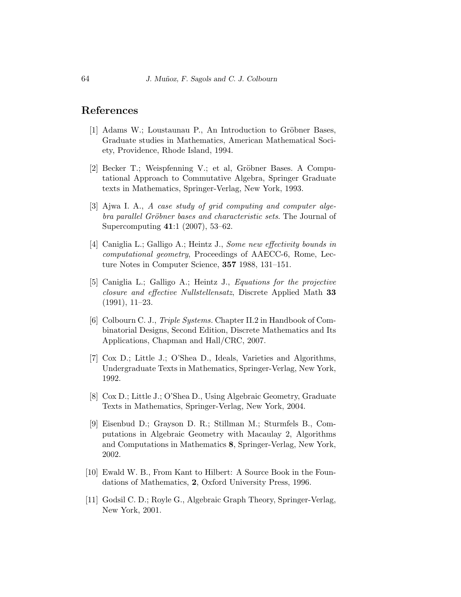### References

- [1] Adams W.; Loustaunau P., An Introduction to Gröbner Bases, Graduate studies in Mathematics, American Mathematical Society, Providence, Rhode Island, 1994.
- [2] Becker T.; Weispfenning V.; et al, Gröbner Bases. A Computational Approach to Commutative Algebra, Springer Graduate texts in Mathematics, Springer-Verlag, New York, 1993.
- [3] Ajwa I. A., A case study of grid computing and computer algebra parallel Gröbner bases and characteristic sets. The Journal of Supercomputing 41:1 (2007), 53–62.
- [4] Caniglia L.; Galligo A.; Heintz J., Some new effectivity bounds in computational geometry, Proceedings of AAECC-6, Rome, Lecture Notes in Computer Science, 357 1988, 131–151.
- [5] Caniglia L.; Galligo A.; Heintz J., Equations for the projective closure and effective Nullstellensatz, Discrete Applied Math 33 (1991), 11–23.
- [6] Colbourn C. J., Triple Systems. Chapter II.2 in Handbook of Combinatorial Designs, Second Edition, Discrete Mathematics and Its Applications, Chapman and Hall/CRC, 2007.
- [7] Cox D.; Little J.; O'Shea D., Ideals, Varieties and Algorithms, Undergraduate Texts in Mathematics, Springer-Verlag, New York, 1992.
- [8] Cox D.; Little J.; O'Shea D., Using Algebraic Geometry, Graduate Texts in Mathematics, Springer-Verlag, New York, 2004.
- [9] Eisenbud D.; Grayson D. R.; Stillman M.; Sturmfels B., Computations in Algebraic Geometry with Macaulay 2, Algorithms and Computations in Mathematics 8, Springer-Verlag, New York, 2002.
- [10] Ewald W. B., From Kant to Hilbert: A Source Book in the Foundations of Mathematics, 2, Oxford University Press, 1996.
- [11] Godsil C. D.; Royle G., Algebraic Graph Theory, Springer-Verlag, New York, 2001.